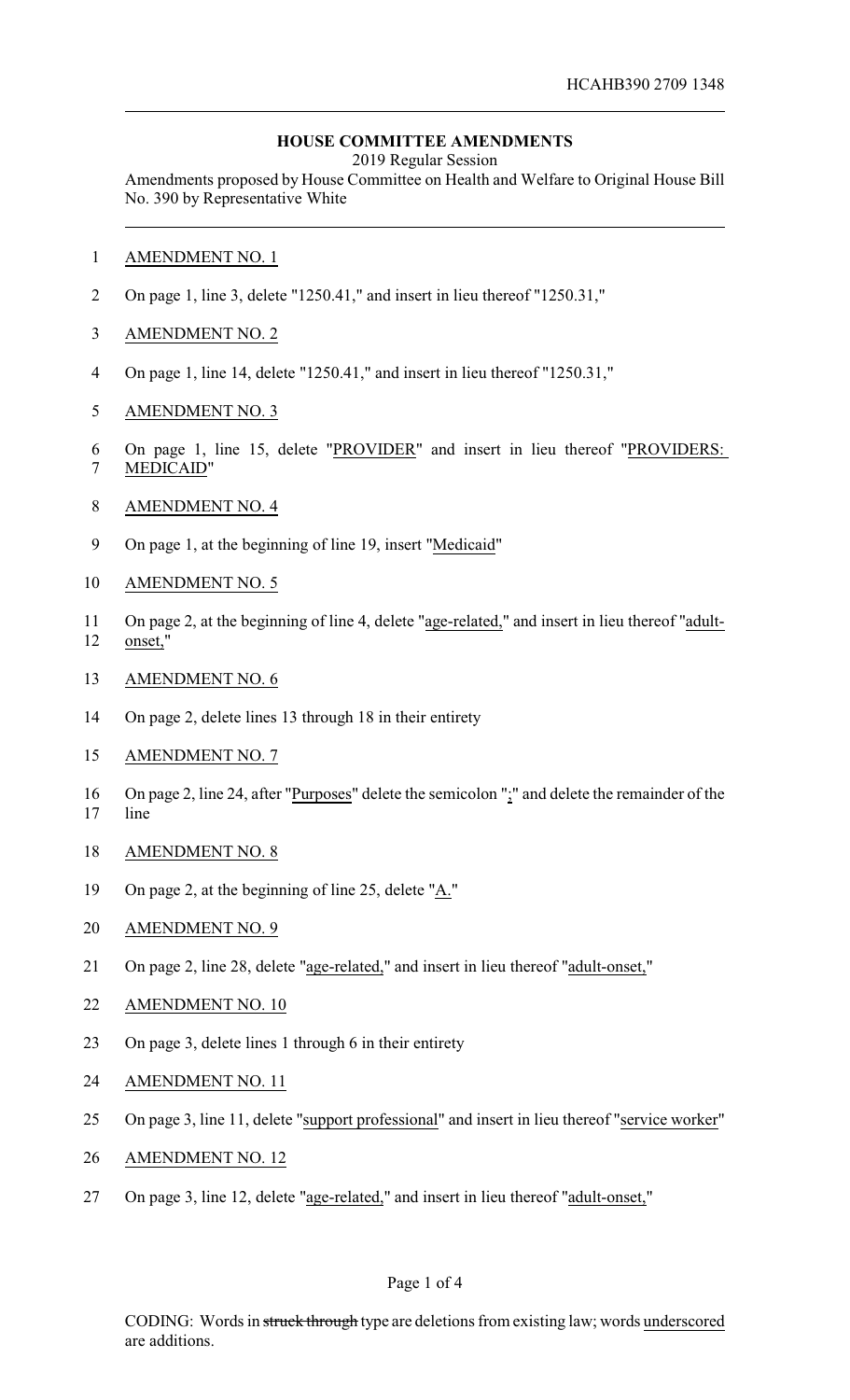# **HOUSE COMMITTEE AMENDMENTS**

2019 Regular Session

Amendments proposed by House Committee on Health and Welfare to Original House Bill No. 390 by Representative White

- AMENDMENT NO. 1
- On page 1, line 3, delete "1250.41," and insert in lieu thereof "1250.31,"
- AMENDMENT NO. 2
- On page 1, line 14, delete "1250.41," and insert in lieu thereof "1250.31,"
- AMENDMENT NO. 3
- On page 1, line 15, delete "PROVIDER" and insert in lieu thereof "PROVIDERS:
- MEDICAID"
- AMENDMENT NO. 4
- On page 1, at the beginning of line 19, insert "Medicaid"
- AMENDMENT NO. 5
- On page 2, at the beginning of line 4, delete "age-related," and insert in lieu thereof "adult-onset,"
- AMENDMENT NO. 6
- On page 2, delete lines 13 through 18 in their entirety
- AMENDMENT NO. 7
- 16 On page 2, line 24, after "Purposes" delete the semicolon ";" and delete the remainder of the line
- AMENDMENT NO. 8
- On page 2, at the beginning of line 25, delete "A."
- AMENDMENT NO. 9
- On page 2, line 28, delete "age-related," and insert in lieu thereof "adult-onset,"
- AMENDMENT NO. 10
- On page 3, delete lines 1 through 6 in their entirety
- AMENDMENT NO. 11
- On page 3, line 11, delete "support professional" and insert in lieu thereof "service worker"
- AMENDMENT NO. 12
- On page 3, line 12, delete "age-related," and insert in lieu thereof "adult-onset,"

#### Page 1 of 4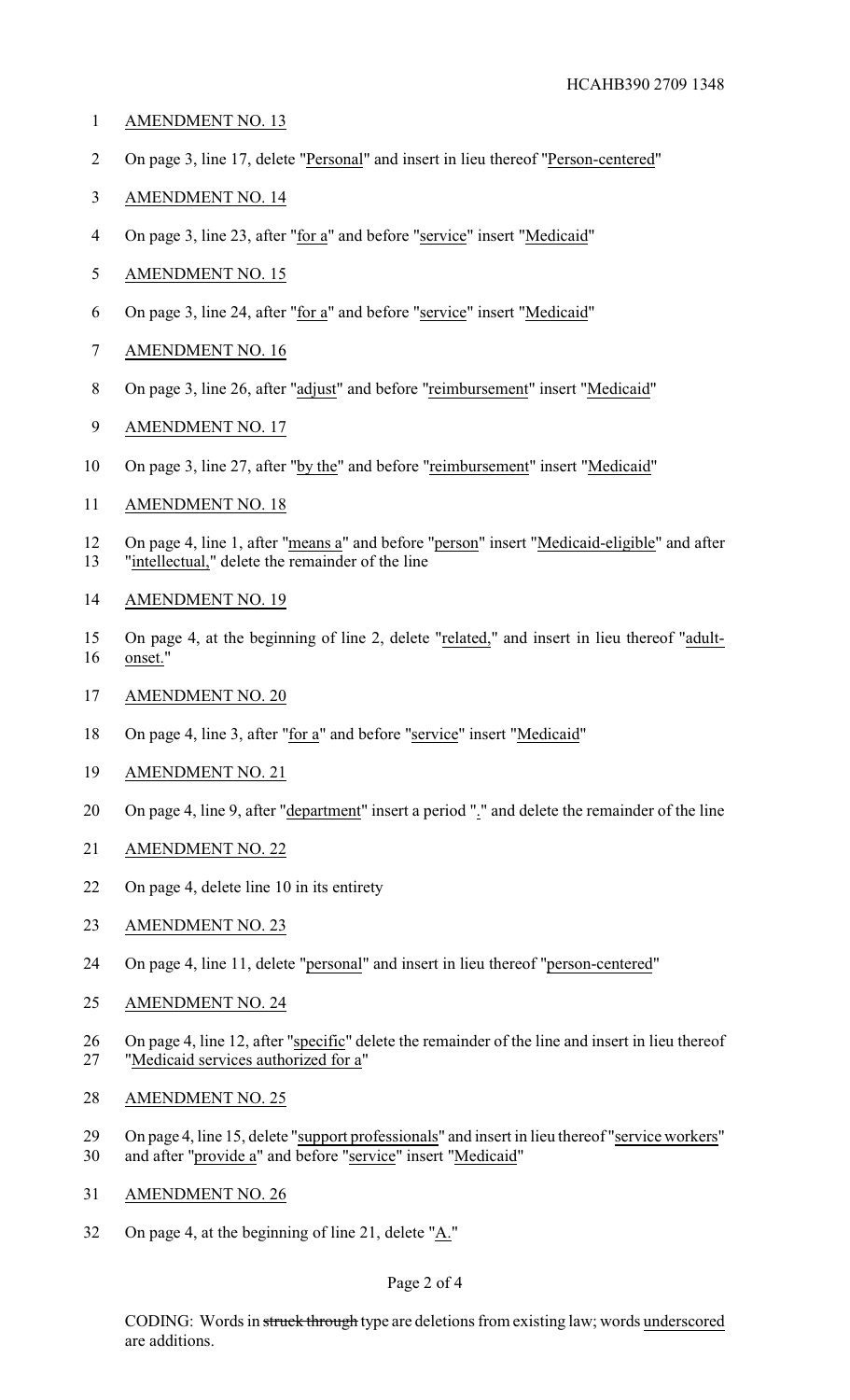- AMENDMENT NO. 13
- On page 3, line 17, delete "Personal" and insert in lieu thereof "Person-centered"
- AMENDMENT NO. 14
- 4 On page 3, line 23, after "for a" and before "service" insert "Medicaid"
- AMENDMENT NO. 15
- On page 3, line 24, after "for a" and before "service" insert "Medicaid"
- AMENDMENT NO. 16
- On page 3, line 26, after "adjust" and before "reimbursement" insert "Medicaid"
- AMENDMENT NO. 17
- On page 3, line 27, after "by the" and before "reimbursement" insert "Medicaid"
- AMENDMENT NO. 18
- 12 On page 4, line 1, after "means a" and before "person" insert "Medicaid-eligible" and after "intellectual," delete the remainder of the line
- AMENDMENT NO. 19
- On page 4, at the beginning of line 2, delete "related," and insert in lieu thereof "adult-onset."
- AMENDMENT NO. 20
- 18 On page 4, line 3, after "for a" and before "service" insert "Medicaid"
- AMENDMENT NO. 21
- 20 On page 4, line 9, after "department" insert a period "." and delete the remainder of the line
- AMENDMENT NO. 22
- On page 4, delete line 10 in its entirety
- 23 AMENDMENT NO. 23
- On page 4, line 11, delete "personal" and insert in lieu thereof "person-centered"
- AMENDMENT NO. 24
- On page 4, line 12, after "specific" delete the remainder of the line and insert in lieu thereof "Medicaid services authorized for a"
- AMENDMENT NO. 25
- 29 On page 4, line 15, delete "support professionals" and insert in lieu thereof "service workers"
- and after "provide a" and before "service" insert "Medicaid"
- AMENDMENT NO. 26
- On page 4, at the beginning of line 21, delete "A."

## Page 2 of 4

CODING: Words in struck through type are deletions from existing law; words underscored are additions.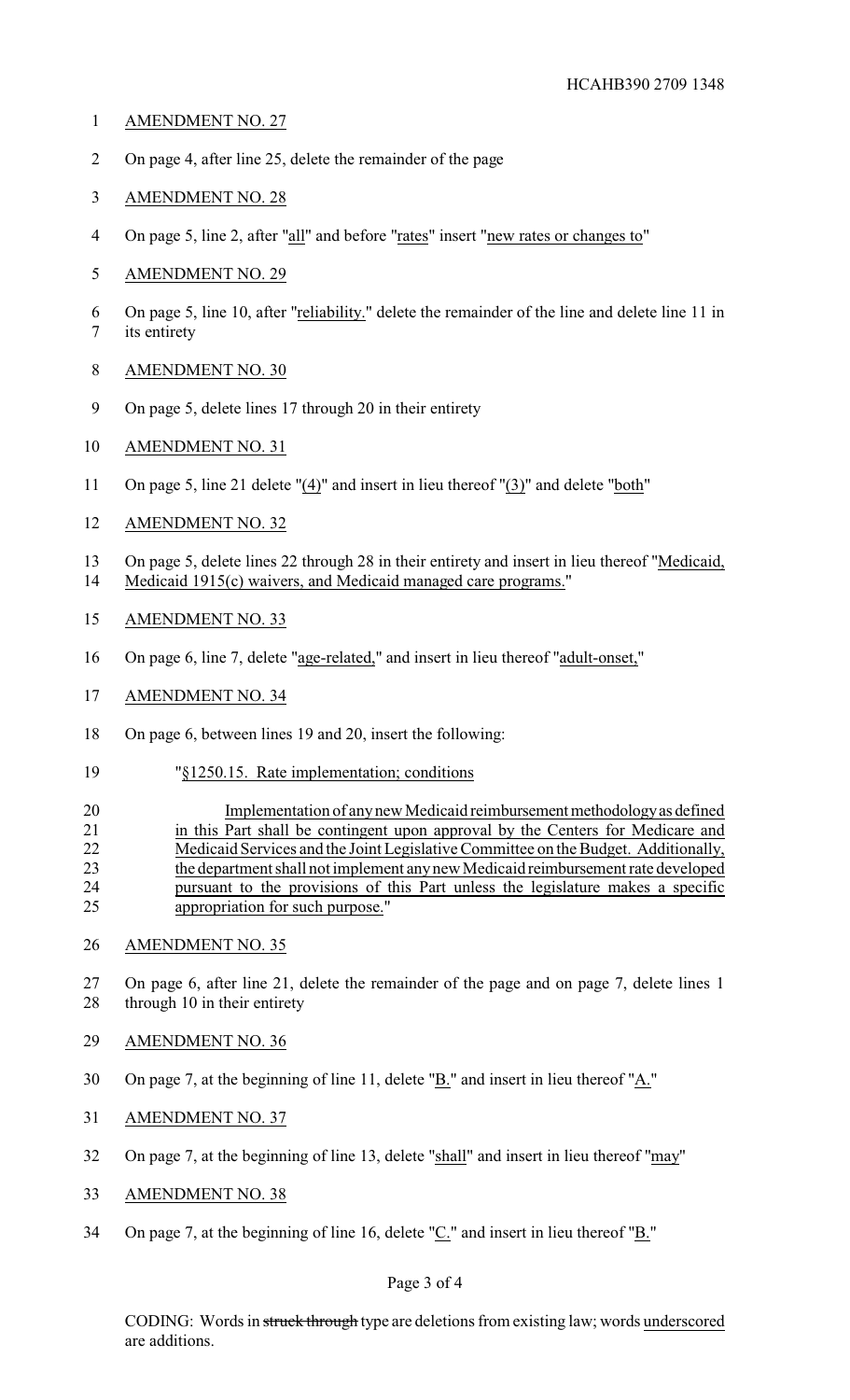- AMENDMENT NO. 27
- On page 4, after line 25, delete the remainder of the page
- AMENDMENT NO. 28
- 4 On page 5, line 2, after "all" and before "rates" insert "new rates or changes to"
- AMENDMENT NO. 29
- On page 5, line 10, after "reliability." delete the remainder of the line and delete line 11 in its entirety
- AMENDMENT NO. 30
- On page 5, delete lines 17 through 20 in their entirety
- AMENDMENT NO. 31
- On page 5, line 21 delete "(4)" and insert in lieu thereof "(3)" and delete "both"
- AMENDMENT NO. 32
- On page 5, delete lines 22 through 28 in their entirety and insert in lieu thereof "Medicaid, Medicaid 1915(c) waivers, and Medicaid managed care programs."
- AMENDMENT NO. 33
- On page 6, line 7, delete "age-related," and insert in lieu thereof "adult-onset,"
- AMENDMENT NO. 34
- On page 6, between lines 19 and 20, insert the following:
- "§1250.15. Rate implementation; conditions
- 20 Implementation of any new Medicaid reimbursement methodology as defined in this Part shall be contingent upon approval by the Centers for Medicare and Medicaid Services and the Joint Legislative Committee on the Budget. Additionally, the department shall not implement anynew Medicaid reimbursement rate developed pursuant to the provisions of this Part unless the legislature makes a specific appropriation for such purpose."
- AMENDMENT NO. 35
- On page 6, after line 21, delete the remainder of the page and on page 7, delete lines 1 28 through 10 in their entirety
- AMENDMENT NO. 36
- On page 7, at the beginning of line 11, delete "B." and insert in lieu thereof "A."
- AMENDMENT NO. 37
- On page 7, at the beginning of line 13, delete "shall" and insert in lieu thereof "may"
- AMENDMENT NO. 38
- On page 7, at the beginning of line 16, delete "C." and insert in lieu thereof "B."

# Page 3 of 4

CODING: Words in struck through type are deletions from existing law; words underscored are additions.